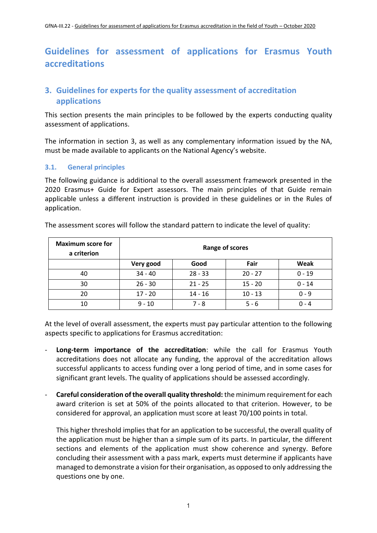# **Guidelines for assessment of applications for Erasmus Youth accreditations**

# **3. Guidelines for experts for the quality assessment of accreditation applications**

This section presents the main principles to be followed by the experts conducting quality assessment of applications.

The information in section 3, as well as any complementary information issued by the NA, must be made available to applicants on the National Agency's website.

#### **3.1. General principles**

The following guidance is additional to the overall assessment framework presented in the 2020 Erasmus+ Guide for Expert assessors. The main principles of that Guide remain applicable unless a different instruction is provided in these guidelines or in the Rules of application.

| <b>Maximum score for</b><br>a criterion | Range of scores |           |           |          |
|-----------------------------------------|-----------------|-----------|-----------|----------|
|                                         | Very good       | Good      | Fair      | Weak     |
| 40                                      | $34 - 40$       | $28 - 33$ | $20 - 27$ | $0 - 19$ |
| 30                                      | $26 - 30$       | $21 - 25$ | $15 - 20$ | $0 - 14$ |
| 20                                      | $17 - 20$       | $14 - 16$ | $10 - 13$ | $0 - 9$  |
| 10                                      | $9 - 10$        | 7 - 8     | $5 - 6$   | በ - 4    |

The assessment scores will follow the standard pattern to indicate the level of quality:

At the level of overall assessment, the experts must pay particular attention to the following aspects specific to applications for Erasmus accreditation:

- **Long-term importance of the accreditation**: while the call for Erasmus Youth accreditations does not allocate any funding, the approval of the accreditation allows successful applicants to access funding over a long period of time, and in some cases for significant grant levels. The quality of applications should be assessed accordingly.
- **Careful consideration of the overall quality threshold:** the minimum requirement for each award criterion is set at 50% of the points allocated to that criterion. However, to be considered for approval, an application must score at least 70/100 points in total.

This higher threshold implies that for an application to be successful, the overall quality of the application must be higher than a simple sum of its parts. In particular, the different sections and elements of the application must show coherence and synergy. Before concluding their assessment with a pass mark, experts must determine if applicants have managed to demonstrate a vision for their organisation, as opposed to only addressing the questions one by one.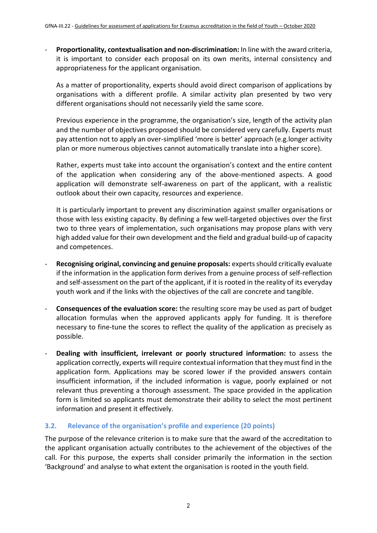- **Proportionality, contextualisation and non-discrimination:** In line with the award criteria, it is important to consider each proposal on its own merits, internal consistency and appropriateness for the applicant organisation.

As a matter of proportionality, experts should avoid direct comparison of applications by organisations with a different profile. A similar activity plan presented by two very different organisations should not necessarily yield the same score.

Previous experience in the programme, the organisation's size, length of the activity plan and the number of objectives proposed should be considered very carefully. Experts must pay attention not to apply an over-simplified 'more is better' approach (e.g.longer activity plan or more numerous objectives cannot automatically translate into a higher score).

Rather, experts must take into account the organisation's context and the entire content of the application when considering any of the above-mentioned aspects. A good application will demonstrate self-awareness on part of the applicant, with a realistic outlook about their own capacity, resources and experience.

It is particularly important to prevent any discrimination against smaller organisations or those with less existing capacity. By defining a few well-targeted objectives over the first two to three years of implementation, such organisations may propose plans with very high added value for their own development and the field and gradual build-up of capacity and competences.

- **Recognising original, convincing and genuine proposals:** experts should critically evaluate if the information in the application form derives from a genuine process of self-reflection and self-assessment on the part of the applicant, if it is rooted in the reality of its everyday youth work and if the links with the objectives of the call are concrete and tangible.
- **Consequences of the evaluation score:** the resulting score may be used as part of budget allocation formulas when the approved applicants apply for funding. It is therefore necessary to fine-tune the scores to reflect the quality of the application as precisely as possible.
- **Dealing with insufficient, irrelevant or poorly structured information:** to assess the application correctly, experts will require contextual information that they must find in the application form. Applications may be scored lower if the provided answers contain insufficient information, if the included information is vague, poorly explained or not relevant thus preventing a thorough assessment. The space provided in the application form is limited so applicants must demonstrate their ability to select the most pertinent information and present it effectively.

#### **3.2. Relevance of the organisation's profile and experience (20 points)**

The purpose of the relevance criterion is to make sure that the award of the accreditation to the applicant organisation actually contributes to the achievement of the objectives of the call. For this purpose, the experts shall consider primarily the information in the section 'Background' and analyse to what extent the organisation is rooted in the youth field.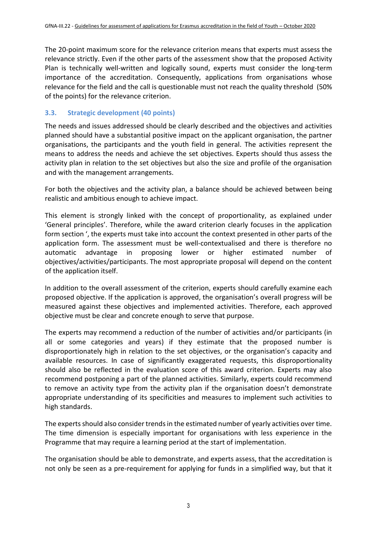The 20-point maximum score for the relevance criterion means that experts must assess the relevance strictly. Even if the other parts of the assessment show that the proposed Activity Plan is technically well-written and logically sound, experts must consider the long-term importance of the accreditation. Consequently, applications from organisations whose relevance for the field and the call is questionable must not reach the quality threshold (50% of the points) for the relevance criterion.

## **3.3. Strategic development (40 points)**

The needs and issues addressed should be clearly described and the objectives and activities planned should have a substantial positive impact on the applicant organisation, the partner organisations, the participants and the youth field in general. The activities represent the means to address the needs and achieve the set objectives. Experts should thus assess the activity plan in relation to the set objectives but also the size and profile of the organisation and with the management arrangements.

For both the objectives and the activity plan, a balance should be achieved between being realistic and ambitious enough to achieve impact.

This element is strongly linked with the concept of proportionality, as explained under 'General principles'. Therefore, while the award criterion clearly focuses in the application form section ', the experts must take into account the context presented in other parts of the application form. The assessment must be well-contextualised and there is therefore no automatic advantage in proposing lower or higher estimated number of objectives/activities/participants. The most appropriate proposal will depend on the content of the application itself.

In addition to the overall assessment of the criterion, experts should carefully examine each proposed objective. If the application is approved, the organisation's overall progress will be measured against these objectives and implemented activities. Therefore, each approved objective must be clear and concrete enough to serve that purpose.

The experts may recommend a reduction of the number of activities and/or participants (in all or some categories and years) if they estimate that the proposed number is disproportionately high in relation to the set objectives, or the organisation's capacity and available resources. In case of significantly exaggerated requests, this disproportionality should also be reflected in the evaluation score of this award criterion. Experts may also recommend postponing a part of the planned activities. Similarly, experts could recommend to remove an activity type from the activity plan if the organisation doesn't demonstrate appropriate understanding of its specificities and measures to implement such activities to high standards.

The experts should also consider trends in the estimated number of yearly activities over time. The time dimension is especially important for organisations with less experience in the Programme that may require a learning period at the start of implementation.

The organisation should be able to demonstrate, and experts assess, that the accreditation is not only be seen as a pre-requirement for applying for funds in a simplified way, but that it